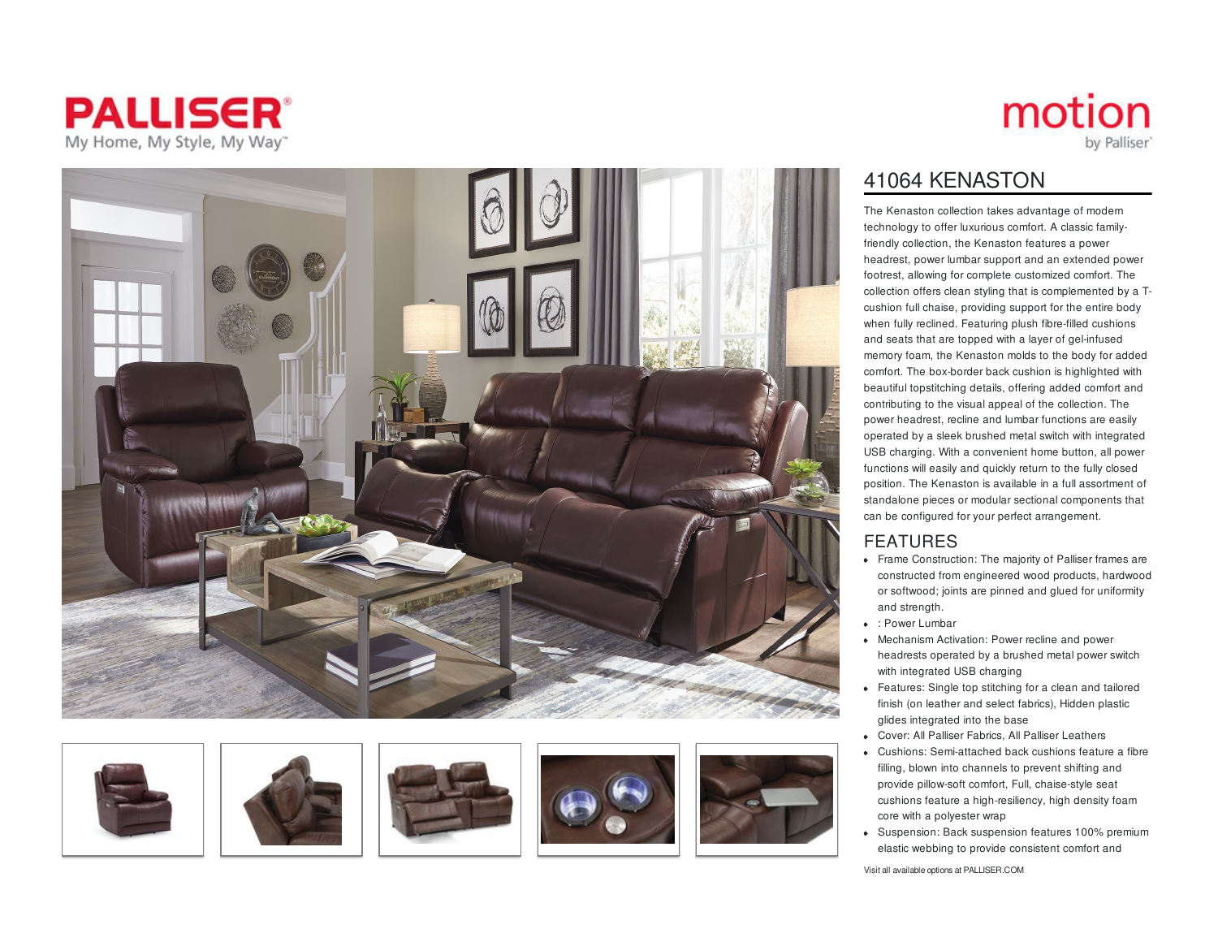













# motion by Palliser'

# 41064 KENASTON

The Kenaston collection takes advantage of modern technology to offer luxurious comfort. A classic familyfriendly collection, the Kenaston features a power headrest, power lumbar support and an extended power footrest, allowing for complete customized comfort. The collection offers clean styling that is complemented by a Tcushion full chaise, providing support for the entire body when fully reclined. Featuring plush fibre-filled cushions and seats that are topped with a layer of gel-infused memory foam, the Kenaston molds to the body for added comfort. The box-border back cushion is highlighted with beautiful topstitching details, offering added comfort and contributing to the visual appeal of the collection. The power headrest, recline and lumbar functions are easily operated by a sleek brushed metal switch with integrated USB charging. With a convenient home button, all power functions will easily and quickly return to the fully closed position. The Kenaston is available in a full assortment of standalone pieces or modular sectional components that can be configured for your perfect arrangement.

#### FEATURES

- Frame Construction: The majority of Palliser frames are constructed from engineered wood products, hardwood or softwood; joints are pinned and glued for uniformity and strength.
- : Power Lumbar
- Mechanism Activation: Power recline and power headrests operated by a brushed metal power switch with integrated USB charging
- Features: Single top stitching for a clean and tailored finish (on leather and select fabrics), Hidden plastic glides integrated into the base
- Cover: All Palliser Fabrics, All Palliser Leathers
- Cushions: Semi-attached back cushions feature a fibre filling, blown into channels to prevent shifting and provide pillow-soft comfort, Full, chaise-style seat cushions feature a high-resiliency, high density foam core with a polyester wrap
- Suspension: Back suspension features 100% premium elastic webbing to provide consistent comfort and

Visit all available options at PALLISER.COM